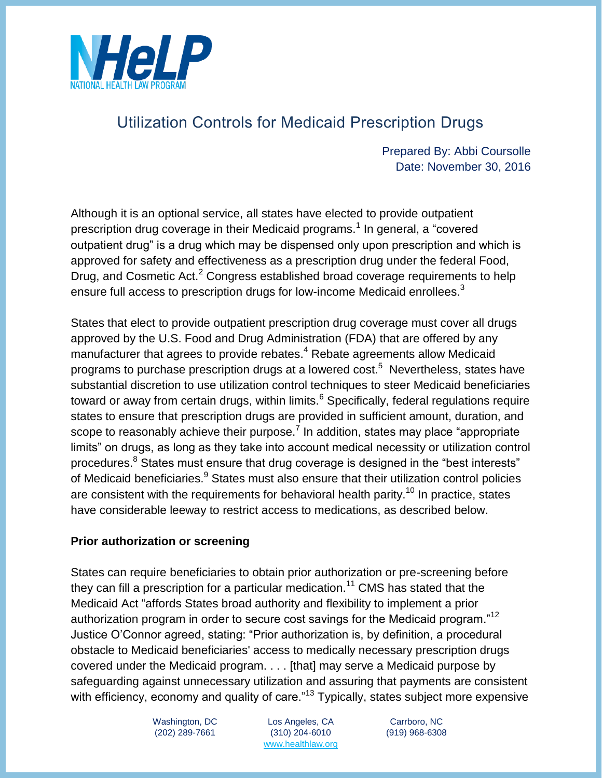

# Utilization Controls for Medicaid Prescription Drugs

Prepared By: Abbi Coursolle Date: November 30, 2016

Although it is an optional service, all states have elected to provide outpatient prescription drug coverage in their Medicaid programs.<sup>1</sup> In general, a "covered outpatient drug" is a drug which may be dispensed only upon prescription and which is approved for safety and effectiveness as a prescription drug under the federal Food, Drug, and Cosmetic Act.<sup>2</sup> Congress established broad coverage requirements to help ensure full access to prescription drugs for low-income Medicaid enrollees.<sup>3</sup>

States that elect to provide outpatient prescription drug coverage must cover all drugs approved by the U.S. Food and Drug Administration (FDA) that are offered by any manufacturer that agrees to provide rebates.<sup>4</sup> Rebate agreements allow Medicaid programs to purchase prescription drugs at a lowered cost.<sup>5</sup> Nevertheless, states have substantial discretion to use utilization control techniques to steer Medicaid beneficiaries toward or away from certain drugs, within limits. $6$  Specifically, federal regulations require states to ensure that prescription drugs are provided in sufficient amount, duration, and scope to reasonably achieve their purpose.<sup>7</sup> In addition, states may place "appropriate limits" on drugs, as long as they take into account medical necessity or utilization control procedures.<sup>8</sup> States must ensure that drug coverage is designed in the "best interests" of Medicaid beneficiaries.<sup>9</sup> States must also ensure that their utilization control policies are consistent with the requirements for behavioral health parity.<sup>10</sup> In practice, states have considerable leeway to restrict access to medications, as described below.

#### **Prior authorization or screening**

States can require beneficiaries to obtain prior authorization or pre-screening before they can fill a prescription for a particular medication.<sup>11</sup> CMS has stated that the Medicaid Act "affords States broad authority and flexibility to implement a prior authorization program in order to secure cost savings for the Medicaid program."<sup>12</sup> Justice O'Connor agreed, stating: "Prior authorization is, by definition, a procedural obstacle to Medicaid beneficiaries' access to medically necessary prescription drugs covered under the Medicaid program. . . . [that] may serve a Medicaid purpose by safeguarding against unnecessary utilization and assuring that payments are consistent with efficiency, economy and quality of care."<sup>13</sup> Typically, states subject more expensive

Washington, DC Los Angeles, CA Carrboro, NC (202) 289-7661 (310) 204-6010 (919) 968-6308 [www.healthlaw.org](http://www.healthlaw.org/)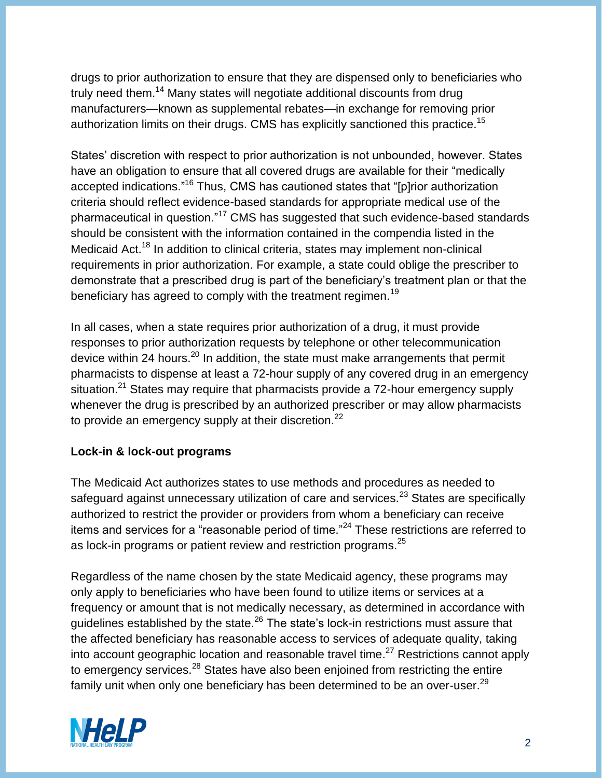drugs to prior authorization to ensure that they are dispensed only to beneficiaries who truly need them.<sup>14</sup> Many states will negotiate additional discounts from drug manufacturers—known as supplemental rebates—in exchange for removing prior authorization limits on their drugs. CMS has explicitly sanctioned this practice.<sup>15</sup>

States' discretion with respect to prior authorization is not unbounded, however. States have an obligation to ensure that all covered drugs are available for their "medically accepted indications."<sup>16</sup> Thus, CMS has cautioned states that "[p]rior authorization criteria should reflect evidence-based standards for appropriate medical use of the pharmaceutical in question."<sup>17</sup> CMS has suggested that such evidence-based standards should be consistent with the information contained in the compendia listed in the Medicaid Act.<sup>18</sup> In addition to clinical criteria, states may implement non-clinical requirements in prior authorization. For example, a state could oblige the prescriber to demonstrate that a prescribed drug is part of the beneficiary's treatment plan or that the beneficiary has agreed to comply with the treatment regimen.<sup>19</sup>

In all cases, when a state requires prior authorization of a drug, it must provide responses to prior authorization requests by telephone or other telecommunication device within 24 hours. $^{20}$  In addition, the state must make arrangements that permit pharmacists to dispense at least a 72-hour supply of any covered drug in an emergency situation.<sup>21</sup> States may require that pharmacists provide a 72-hour emergency supply whenever the drug is prescribed by an authorized prescriber or may allow pharmacists to provide an emergency supply at their discretion.<sup>22</sup>

## **Lock-in & lock-out programs**

The Medicaid Act authorizes states to use methods and procedures as needed to safeguard against unnecessary utilization of care and services.<sup>23</sup> States are specifically authorized to restrict the provider or providers from whom a beneficiary can receive items and services for a "reasonable period of time."<sup>24</sup> These restrictions are referred to as lock-in programs or patient review and restriction programs.<sup>25</sup>

Regardless of the name chosen by the state Medicaid agency, these programs may only apply to beneficiaries who have been found to utilize items or services at a frequency or amount that is not medically necessary, as determined in accordance with guidelines established by the state.<sup>26</sup> The state's lock-in restrictions must assure that the affected beneficiary has reasonable access to services of adequate quality, taking into account geographic location and reasonable travel time. $^{27}$  Restrictions cannot apply to emergency services.<sup>28</sup> States have also been enjoined from restricting the entire family unit when only one beneficiary has been determined to be an over-user.<sup>29</sup>

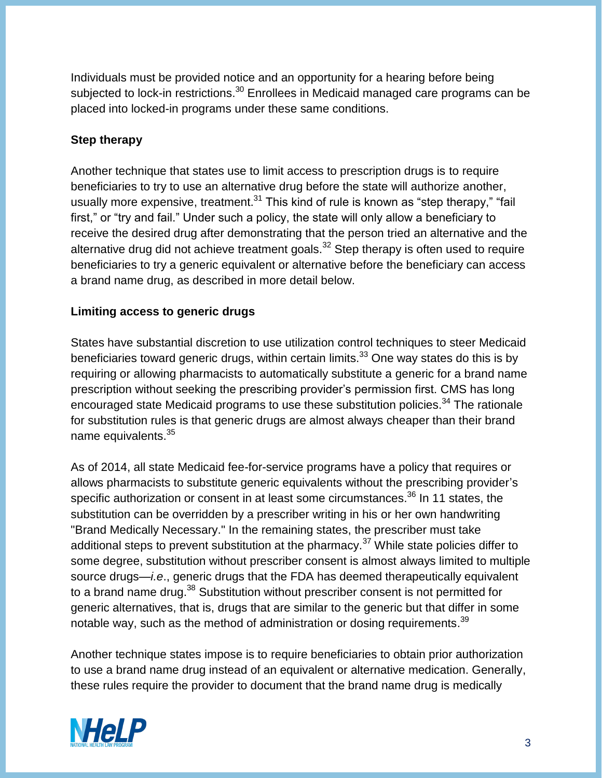Individuals must be provided notice and an opportunity for a hearing before being subjected to lock-in restrictions.<sup>30</sup> Enrollees in Medicaid managed care programs can be placed into locked-in programs under these same conditions.

## **Step therapy**

Another technique that states use to limit access to prescription drugs is to require beneficiaries to try to use an alternative drug before the state will authorize another, usually more expensive, treatment.<sup>31</sup> This kind of rule is known as "step therapy," "fail first," or "try and fail." Under such a policy, the state will only allow a beneficiary to receive the desired drug after demonstrating that the person tried an alternative and the alternative drug did not achieve treatment goals. $32$  Step therapy is often used to require beneficiaries to try a generic equivalent or alternative before the beneficiary can access a brand name drug, as described in more detail below.

## **Limiting access to generic drugs**

States have substantial discretion to use utilization control techniques to steer Medicaid beneficiaries toward generic drugs, within certain limits.<sup>33</sup> One way states do this is by requiring or allowing pharmacists to automatically substitute a generic for a brand name prescription without seeking the prescribing provider's permission first. CMS has long encouraged state Medicaid programs to use these substitution policies.<sup>34</sup> The rationale for substitution rules is that generic drugs are almost always cheaper than their brand name equivalents.<sup>35</sup>

As of 2014, all state Medicaid fee-for-service programs have a policy that requires or allows pharmacists to substitute generic equivalents without the prescribing provider's specific authorization or consent in at least some circumstances.<sup>36</sup> In 11 states, the substitution can be overridden by a prescriber writing in his or her own handwriting "Brand Medically Necessary." In the remaining states, the prescriber must take additional steps to prevent substitution at the pharmacy.<sup>37</sup> While state policies differ to some degree, substitution without prescriber consent is almost always limited to multiple source drugs—*i.e*., generic drugs that the FDA has deemed therapeutically equivalent to a brand name drug.<sup>38</sup> Substitution without prescriber consent is not permitted for generic alternatives, that is, drugs that are similar to the generic but that differ in some notable way, such as the method of administration or dosing requirements. $^{39}$ 

Another technique states impose is to require beneficiaries to obtain prior authorization to use a brand name drug instead of an equivalent or alternative medication. Generally, these rules require the provider to document that the brand name drug is medically

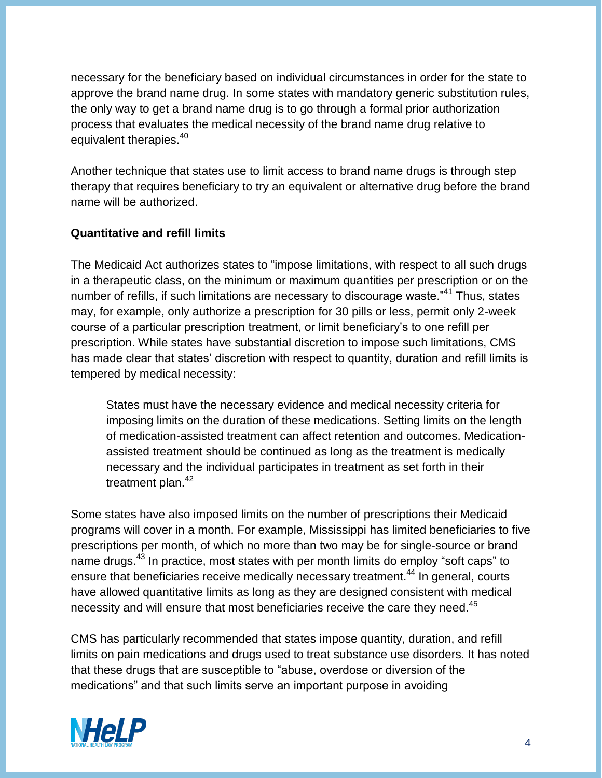necessary for the beneficiary based on individual circumstances in order for the state to approve the brand name drug. In some states with mandatory generic substitution rules, the only way to get a brand name drug is to go through a formal prior authorization process that evaluates the medical necessity of the brand name drug relative to equivalent therapies.<sup>40</sup>

Another technique that states use to limit access to brand name drugs is through step therapy that requires beneficiary to try an equivalent or alternative drug before the brand name will be authorized.

## **Quantitative and refill limits**

The Medicaid Act authorizes states to "impose limitations, with respect to all such drugs in a therapeutic class, on the minimum or maximum quantities per prescription or on the number of refills, if such limitations are necessary to discourage waste."<sup>41</sup> Thus, states may, for example, only authorize a prescription for 30 pills or less, permit only 2-week course of a particular prescription treatment, or limit beneficiary's to one refill per prescription. While states have substantial discretion to impose such limitations, CMS has made clear that states' discretion with respect to quantity, duration and refill limits is tempered by medical necessity:

States must have the necessary evidence and medical necessity criteria for imposing limits on the duration of these medications. Setting limits on the length of medication-assisted treatment can affect retention and outcomes. Medicationassisted treatment should be continued as long as the treatment is medically necessary and the individual participates in treatment as set forth in their treatment plan. $42$ 

Some states have also imposed limits on the number of prescriptions their Medicaid programs will cover in a month. For example, Mississippi has limited beneficiaries to five prescriptions per month, of which no more than two may be for single-source or brand name drugs.<sup>43</sup> In practice, most states with per month limits do employ "soft caps" to ensure that beneficiaries receive medically necessary treatment.<sup>44</sup> In general, courts have allowed quantitative limits as long as they are designed consistent with medical necessity and will ensure that most beneficiaries receive the care they need.<sup>45</sup>

CMS has particularly recommended that states impose quantity, duration, and refill limits on pain medications and drugs used to treat substance use disorders. It has noted that these drugs that are susceptible to "abuse, overdose or diversion of the medications" and that such limits serve an important purpose in avoiding

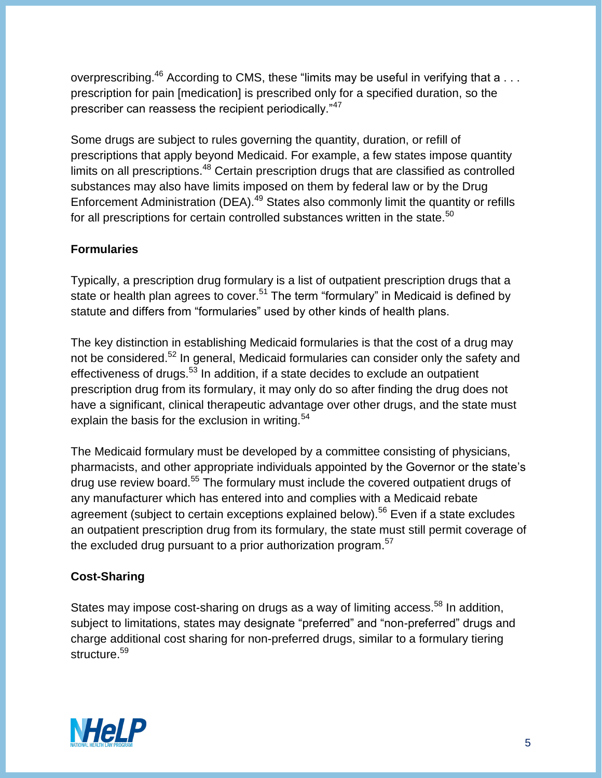overprescribing.<sup>46</sup> According to CMS, these "limits may be useful in verifying that a . . . prescription for pain [medication] is prescribed only for a specified duration, so the prescriber can reassess the recipient periodically."<sup>47</sup>

Some drugs are subject to rules governing the quantity, duration, or refill of prescriptions that apply beyond Medicaid. For example, a few states impose quantity limits on all prescriptions.<sup>48</sup> Certain prescription drugs that are classified as controlled substances may also have limits imposed on them by federal law or by the Drug Enforcement Administration (DEA).<sup>49</sup> States also commonly limit the quantity or refills for all prescriptions for certain controlled substances written in the state. $50$ 

## **Formularies**

Typically, a prescription drug formulary is a list of outpatient prescription drugs that a state or health plan agrees to cover.<sup>51</sup> The term "formulary" in Medicaid is defined by statute and differs from "formularies" used by other kinds of health plans.

The key distinction in establishing Medicaid formularies is that the cost of a drug may not be considered.<sup>52</sup> In general, Medicaid formularies can consider only the safety and effectiveness of drugs.<sup>53</sup> In addition, if a state decides to exclude an outpatient prescription drug from its formulary, it may only do so after finding the drug does not have a significant, clinical therapeutic advantage over other drugs, and the state must explain the basis for the exclusion in writing. $54$ 

The Medicaid formulary must be developed by a committee consisting of physicians, pharmacists, and other appropriate individuals appointed by the Governor or the state's drug use review board.<sup>55</sup> The formulary must include the covered outpatient drugs of any manufacturer which has entered into and complies with a Medicaid rebate agreement (subject to certain exceptions explained below).<sup>56</sup> Even if a state excludes an outpatient prescription drug from its formulary, the state must still permit coverage of the excluded drug pursuant to a prior authorization program.<sup>57</sup>

## **Cost-Sharing**

States may impose cost-sharing on drugs as a way of limiting access.<sup>58</sup> In addition, subject to limitations, states may designate "preferred" and "non-preferred" drugs and charge additional cost sharing for non-preferred drugs, similar to a formulary tiering structure. 59

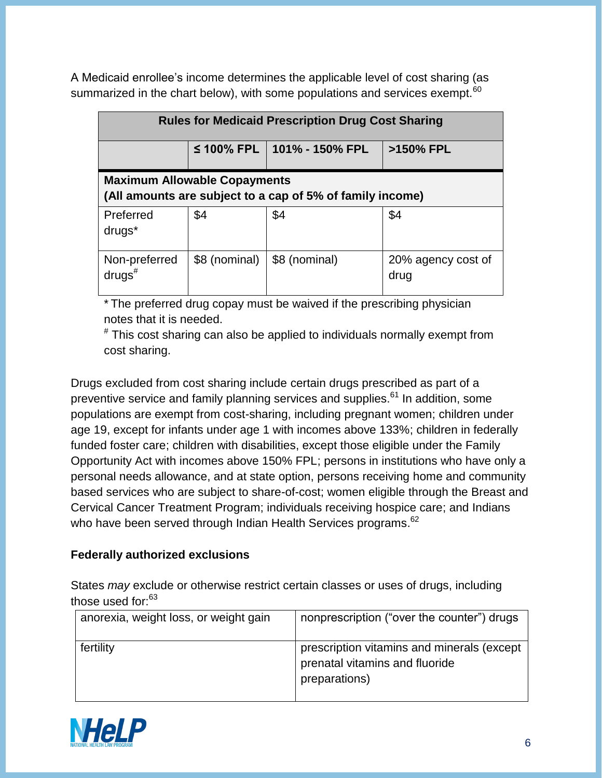A Medicaid enrollee's income determines the applicable level of cost sharing (as summarized in the chart below), with some populations and services exempt.<sup>60</sup>

| <b>Rules for Medicaid Prescription Drug Cost Sharing</b>                                         |               |                              |                            |  |
|--------------------------------------------------------------------------------------------------|---------------|------------------------------|----------------------------|--|
|                                                                                                  |               | ≤ 100% FPL   101% - 150% FPL | >150% FPL                  |  |
| <b>Maximum Allowable Copayments</b><br>(All amounts are subject to a cap of 5% of family income) |               |                              |                            |  |
| Preferred<br>drugs <sup>*</sup>                                                                  | \$4           | \$4                          | \$4                        |  |
| Non-preferred<br>$drugs^{\#}$                                                                    | \$8 (nominal) | \$8 (nominal)                | 20% agency cost of<br>drug |  |

\* The preferred drug copay must be waived if the prescribing physician notes that it is needed.

# This cost sharing can also be applied to individuals normally exempt from cost sharing.

Drugs excluded from cost sharing include certain drugs prescribed as part of a preventive service and family planning services and supplies.<sup>61</sup> In addition, some populations are exempt from cost-sharing, including pregnant women; children under age 19, except for infants under age 1 with incomes above 133%; children in federally funded foster care; children with disabilities, except those eligible under the Family Opportunity Act with incomes above 150% FPL; persons in institutions who have only a personal needs allowance, and at state option, persons receiving home and community based services who are subject to share-of-cost; women eligible through the Breast and Cervical Cancer Treatment Program; individuals receiving hospice care; and Indians who have been served through Indian Health Services programs.<sup>62</sup>

## **Federally authorized exclusions**

States *may* exclude or otherwise restrict certain classes or uses of drugs, including those used for:<sup>63</sup>

| anorexia, weight loss, or weight gain | nonprescription ("over the counter") drugs                                                    |
|---------------------------------------|-----------------------------------------------------------------------------------------------|
| fertility                             | prescription vitamins and minerals (except<br>prenatal vitamins and fluoride<br>preparations) |

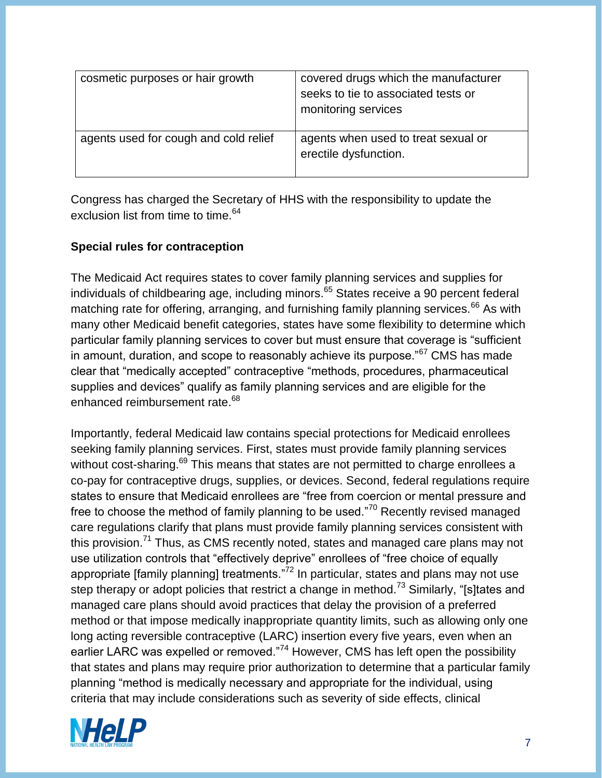| cosmetic purposes or hair growth      | covered drugs which the manufacturer<br>seeks to tie to associated tests or<br>monitoring services |
|---------------------------------------|----------------------------------------------------------------------------------------------------|
| agents used for cough and cold relief | agents when used to treat sexual or<br>erectile dysfunction.                                       |

Congress has charged the Secretary of HHS with the responsibility to update the exclusion list from time to time.<sup>64</sup>

#### **Special rules for contraception**

The Medicaid Act requires states to cover family planning services and supplies for individuals of childbearing age, including minors.<sup>65</sup> States receive a 90 percent federal matching rate for offering, arranging, and furnishing family planning services.<sup>66</sup> As with many other Medicaid benefit categories, states have some flexibility to determine which particular family planning services to cover but must ensure that coverage is "sufficient in amount, duration, and scope to reasonably achieve its purpose."<sup>67</sup> CMS has made clear that "medically accepted" contraceptive "methods, procedures, pharmaceutical supplies and devices" qualify as family planning services and are eligible for the enhanced reimbursement rate.<sup>68</sup>

Importantly, federal Medicaid law contains special protections for Medicaid enrollees seeking family planning services. First, states must provide family planning services without cost-sharing.<sup>69</sup> This means that states are not permitted to charge enrollees a co-pay for contraceptive drugs, supplies, or devices. Second, federal regulations require states to ensure that Medicaid enrollees are "free from coercion or mental pressure and free to choose the method of family planning to be used."<sup>70</sup> Recently revised managed care regulations clarify that plans must provide family planning services consistent with this provision.<sup>71</sup> Thus, as CMS recently noted, states and managed care plans may not use utilization controls that "effectively deprive" enrollees of "free choice of equally appropriate [family planning] treatments."<sup>72</sup> In particular, states and plans may not use step therapy or adopt policies that restrict a change in method.<sup>73</sup> Similarly, "[s]tates and managed care plans should avoid practices that delay the provision of a preferred method or that impose medically inappropriate quantity limits, such as allowing only one long acting reversible contraceptive (LARC) insertion every five years, even when an earlier LARC was expelled or removed."<sup>74</sup> However, CMS has left open the possibility that states and plans may require prior authorization to determine that a particular family planning "method is medically necessary and appropriate for the individual, using criteria that may include considerations such as severity of side effects, clinical

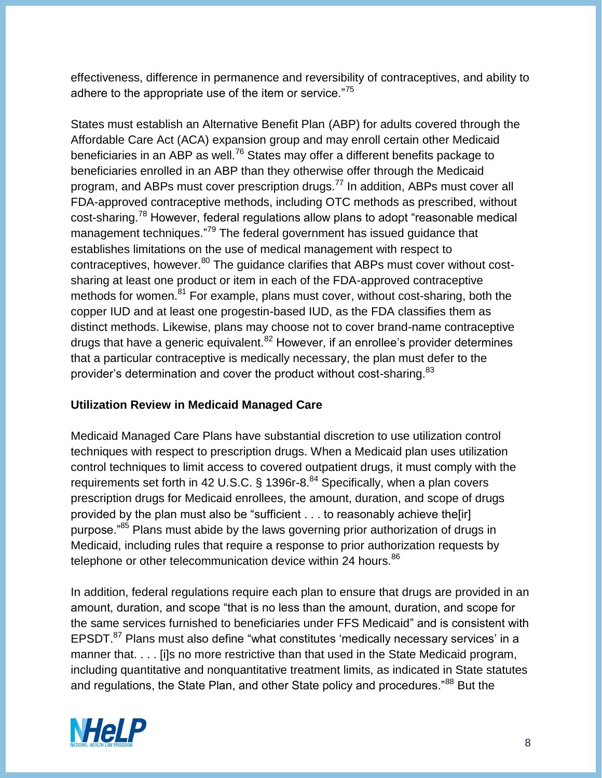effectiveness, difference in permanence and reversibility of contraceptives, and ability to adhere to the appropriate use of the item or service."<sup>75</sup>

States must establish an Alternative Benefit Plan (ABP) for adults covered through the Affordable Care Act (ACA) expansion group and may enroll certain other Medicaid beneficiaries in an ABP as well.<sup>76</sup> States may offer a different benefits package to beneficiaries enrolled in an ABP than they otherwise offer through the Medicaid program, and ABPs must cover prescription drugs.<sup>77</sup> In addition, ABPs must cover all FDA-approved contraceptive methods, including OTC methods as prescribed, without cost-sharing.<sup>78</sup> However, federal regulations allow plans to adopt "reasonable medical management techniques."<sup>79</sup> The federal government has issued guidance that establishes limitations on the use of medical management with respect to contraceptives, however.<sup>80</sup> The guidance clarifies that ABPs must cover without costsharing at least one product or item in each of the FDA-approved contraceptive methods for women.<sup>81</sup> For example, plans must cover, without cost-sharing, both the copper IUD and at least one progestin-based IUD, as the FDA classifies them as distinct methods. Likewise, plans may choose not to cover brand-name contraceptive drugs that have a generic equivalent.<sup>82</sup> However, if an enrollee's provider determines that a particular contraceptive is medically necessary, the plan must defer to the provider's determination and cover the product without cost-sharing.<sup>83</sup>

## **Utilization Review in Medicaid Managed Care**

Medicaid Managed Care Plans have substantial discretion to use utilization control techniques with respect to prescription drugs. When a Medicaid plan uses utilization control techniques to limit access to covered outpatient drugs, it must comply with the requirements set forth in 42 U.S.C. § 1396r-8.<sup>84</sup> Specifically, when a plan covers prescription drugs for Medicaid enrollees, the amount, duration, and scope of drugs provided by the plan must also be "sufficient . . . to reasonably achieve the[ir] purpose."<sup>85</sup> Plans must abide by the laws governing prior authorization of drugs in Medicaid, including rules that require a response to prior authorization requests by telephone or other telecommunication device within 24 hours.<sup>86</sup>

In addition, federal regulations require each plan to ensure that drugs are provided in an amount, duration, and scope "that is no less than the amount, duration, and scope for the same services furnished to beneficiaries under FFS Medicaid" and is consistent with EPSDT.<sup>87</sup> Plans must also define "what constitutes 'medically necessary services' in a manner that. . . . [i]s no more restrictive than that used in the State Medicaid program, including quantitative and nonquantitative treatment limits, as indicated in State statutes and regulations, the State Plan, and other State policy and procedures."<sup>88</sup> But the

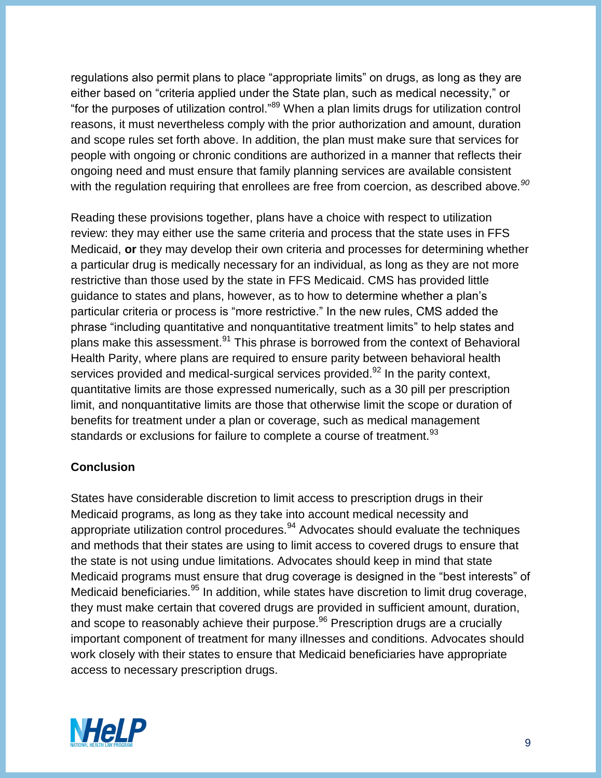regulations also permit plans to place "appropriate limits" on drugs, as long as they are either based on "criteria applied under the State plan, such as medical necessity," or "for the purposes of utilization control."<sup>89</sup> When a plan limits drugs for utilization control reasons, it must nevertheless comply with the prior authorization and amount, duration and scope rules set forth above. In addition, the plan must make sure that services for people with ongoing or chronic conditions are authorized in a manner that reflects their ongoing need and must ensure that family planning services are available consistent with the regulation requiring that enrollees are free from coercion, as described above*. 90*

Reading these provisions together, plans have a choice with respect to utilization review: they may either use the same criteria and process that the state uses in FFS Medicaid, **or** they may develop their own criteria and processes for determining whether a particular drug is medically necessary for an individual, as long as they are not more restrictive than those used by the state in FFS Medicaid. CMS has provided little guidance to states and plans, however, as to how to determine whether a plan's particular criteria or process is "more restrictive." In the new rules, CMS added the phrase "including quantitative and nonquantitative treatment limits" to help states and plans make this assessment.<sup>91</sup> This phrase is borrowed from the context of Behavioral Health Parity, where plans are required to ensure parity between behavioral health services provided and medical-surgical services provided.<sup>92</sup> In the parity context, quantitative limits are those expressed numerically, such as a 30 pill per prescription limit, and nonquantitative limits are those that otherwise limit the scope or duration of benefits for treatment under a plan or coverage, such as medical management standards or exclusions for failure to complete a course of treatment.<sup>93</sup>

## **Conclusion**

States have considerable discretion to limit access to prescription drugs in their Medicaid programs, as long as they take into account medical necessity and appropriate utilization control procedures. $94$  Advocates should evaluate the techniques and methods that their states are using to limit access to covered drugs to ensure that the state is not using undue limitations. Advocates should keep in mind that state Medicaid programs must ensure that drug coverage is designed in the "best interests" of Medicaid beneficiaries.<sup>95</sup> In addition, while states have discretion to limit drug coverage, they must make certain that covered drugs are provided in sufficient amount, duration, and scope to reasonably achieve their purpose.<sup>96</sup> Prescription drugs are a crucially important component of treatment for many illnesses and conditions. Advocates should work closely with their states to ensure that Medicaid beneficiaries have appropriate access to necessary prescription drugs.

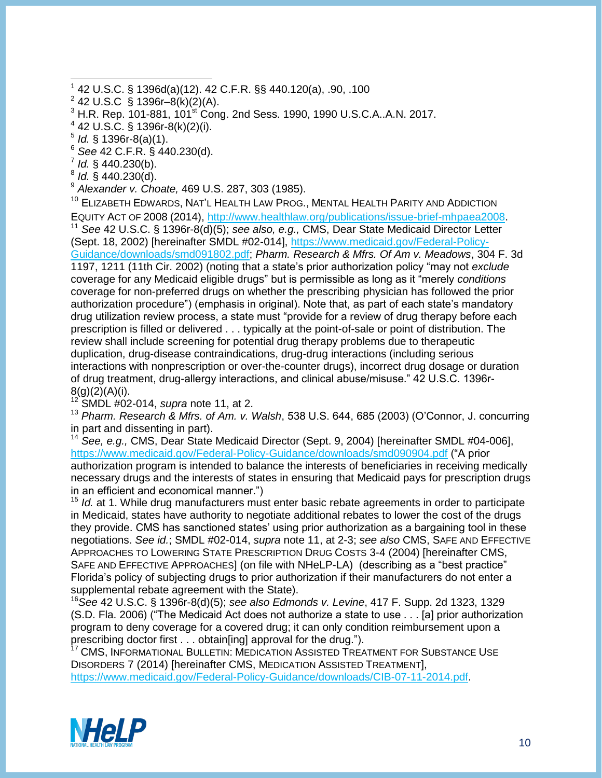- 1 42 U.S.C. § 1396d(a)(12). 42 C.F.R. §§ 440.120(a), .90, .100
- $^{2}$  42 U.S.C  $\bar{\S}$  1396r–8(k)(2)(A).
- $3$  H.R. Rep. 101-881,  $101<sup>st</sup>$  Cong. 2nd Sess. 1990, 1990 U.S.C.A..A.N. 2017.
- $4$  42 U.S.C. § 1396r-8(k)(2)(i).
- 5 *Id.* § 1396r-8(a)(1).

- <sup>6</sup> *See* 42 C.F.R. § 440.230(d).
- 7 *Id.* § 440.230(b).
- 8 *Id.* § 440.230(d).
- <sup>9</sup> *Alexander v. Choate,* 469 U.S. 287, 303 (1985).

<sup>10</sup> ELIZABETH EDWARDS, NAT'L HEALTH LAW PROG., MENTAL HEALTH PARITY AND ADDICTION EQUITY ACT OF 2008 (2014), [http://www.healthlaw.org/publications/issue-brief-mhpaea2008.](http://www.healthlaw.org/publications/issue-brief-mhpaea2008)

<sup>11</sup> *See* 42 U.S.C. § 1396r-8(d)(5); *see also, e.g.,* CMS, Dear State Medicaid Director Letter (Sept. 18, 2002) [hereinafter SMDL #02-014], [https://www.medicaid.gov/Federal-Policy-](https://www.medicaid.gov/Federal-Policy-Guidance/downloads/smd091802.pdf)[Guidance/downloads/smd091802.pdf;](https://www.medicaid.gov/Federal-Policy-Guidance/downloads/smd091802.pdf) *Pharm. Research & Mfrs. Of Am v. Meadows*, 304 F. 3d 1197, 1211 (11th Cir. 2002) (noting that a state's prior authorization policy "may not *exclude* coverage for any Medicaid eligible drugs" but is permissible as long as it "merely *conditions*  coverage for non-preferred drugs on whether the prescribing physician has followed the prior authorization procedure") (emphasis in original). Note that, as part of each state's mandatory drug utilization review process, a state must "provide for a review of drug therapy before each prescription is filled or delivered . . . typically at the point-of-sale or point of distribution. The review shall include screening for potential drug therapy problems due to therapeutic duplication, drug-disease contraindications, drug-drug interactions (including serious interactions with nonprescription or over-the-counter drugs), incorrect drug dosage or duration of drug treatment, drug-allergy interactions, and clinical abuse/misuse." 42 U.S.C. 1396r-8(g)(2)(A)(i).

<sup>12</sup> SMDL #02-014, *supra* note 11, at 2.

<sup>13</sup> *Pharm. Research & Mfrs. of Am. v. Walsh*, 538 U.S. 644, 685 (2003) (O'Connor, J. concurring in part and dissenting in part).

<sup>14</sup> *See, e.g.,* CMS, Dear State Medicaid Director (Sept. 9, 2004) [hereinafter SMDL #04-006], <https://www.medicaid.gov/Federal-Policy-Guidance/downloads/smd090904.pdf> ("A prior authorization program is intended to balance the interests of beneficiaries in receiving medically necessary drugs and the interests of states in ensuring that Medicaid pays for prescription drugs in an efficient and economical manner.")

<sup>15</sup> *Id.* at 1. While drug manufacturers must enter basic rebate agreements in order to participate in Medicaid, states have authority to negotiate additional rebates to lower the cost of the drugs they provide. CMS has sanctioned states' using prior authorization as a bargaining tool in these negotiations. *See id.*; SMDL #02-014, *supra* note 11, at 2-3; *see also* CMS, SAFE AND EFFECTIVE APPROACHES TO LOWERING STATE PRESCRIPTION DRUG COSTS 3-4 (2004) [hereinafter CMS, SAFE AND EFFECTIVE APPROACHES] (on file with NHeLP-LA) (describing as a "best practice" Florida's policy of subjecting drugs to prior authorization if their manufacturers do not enter a supplemental rebate agreement with the State).

<sup>16</sup>*See* 42 U.S.C. § 1396r-8(d)(5); *see also Edmonds v. Levine*, 417 F. Supp. 2d 1323, 1329 (S.D. Fla. 2006) ("The Medicaid Act does not authorize a state to use . . . [a] prior authorization program to deny coverage for a covered drug; it can only condition reimbursement upon a prescribing doctor first . . . obtain[ing] approval for the drug.").

CMS, INFORMATIONAL BULLETIN: MEDICATION ASSISTED TREATMENT FOR SUBSTANCE USE DISORDERS 7 (2014) [hereinafter CMS, MEDICATION ASSISTED TREATMENT], [https://www.medicaid.gov/Federal-Policy-Guidance/downloads/CIB-07-11-2014.pdf.](https://www.medicaid.gov/Federal-Policy-Guidance/downloads/CIB-07-11-2014.pdf)

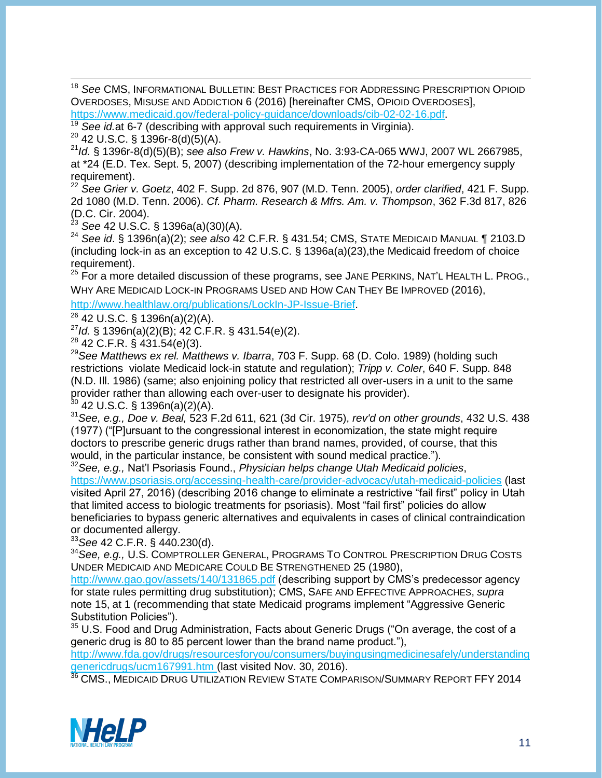<sup>18</sup> *See* CMS, INFORMATIONAL BULLETIN: BEST PRACTICES FOR ADDRESSING PRESCRIPTION OPIOID OVERDOSES, MISUSE AND ADDICTION 6 (2016) [hereinafter CMS, OPIOID OVERDOSES],

[https://www.medicaid.gov/federal-policy-guidance/downloads/cib-02-02-16.pdf.](https://www.medicaid.gov/federal-policy-guidance/downloads/cib-02-02-16.pdf)

See *id.at* 6-7 (describing with approval such requirements in Virginia).

 $20$  42 U.S.C. § 1396r-8(d)(5)(A).

<sup>21</sup>*Id.* § 1396r-8(d)(5)(B); *see also Frew v. Hawkins*, No. 3:93-CA-065 WWJ, 2007 WL 2667985, at \*24 (E.D. Tex. Sept. 5, 2007) (describing implementation of the 72-hour emergency supply requirement).

<sup>22</sup> *See Grier v. Goetz*, 402 F. Supp. 2d 876, 907 (M.D. Tenn. 2005), *order clarified*, 421 F. Supp. 2d 1080 (M.D. Tenn. 2006). *Cf. Pharm. Research & Mfrs. Am. v. Thompson*, 362 F.3d 817, 826  $(D.C. Cir. 2004).$ <sup>23</sup> See 42 LLSC

<sup>23</sup> *See* 42 U.S.C. § 1396a(a)(30)(A).

<sup>24</sup> *See id*. § 1396n(a)(2); *see also* 42 C.F.R. § 431.54; CMS, STATE MEDICAID MANUAL ¶ 2103.D (including lock-in as an exception to 42 U.S.C. § 1396a(a)(23),the Medicaid freedom of choice requirement).

 $25$  For a more detailed discussion of these programs, see JANE PERKINS, NAT'L HEALTH L. PROG., WHY ARE MEDICAID LOCK-IN P[ROGRAMS](http://www.healthlaw.org/publications/search-publications/LockIn-JP-Issue-Brief) USED AND HOW CAN THEY BE IMPROVED (2016), [http://www.healthlaw.org/publications/LockIn-JP-Issue-Brief.](http://www.healthlaw.org/publications/LockIn-JP-Issue-Brief)

<sup>26</sup> 42 U.S.C. § 1396n(a)(2)(A).

<sup>27</sup>*Id.* § 1396n(a)(2)(B); 42 C.F.R. § 431.54(e)(2).

 $^{28}$  42 C.F.R. § 431.54(e)(3).

<sup>29</sup>*See Matthews ex rel. Matthews v. Ibarra*, 703 F. Supp. 68 (D. Colo. 1989) (holding such restrictions violate Medicaid lock-in statute and regulation); *Tripp v. Coler*, 640 F. Supp. 848 (N.D. Ill. 1986) (same; also enjoining policy that restricted all over-users in a unit to the same provider rather than allowing each over-user to designate his provider). <sup>30</sup> 42 U.S.C. § 1396n(a)(2)(A)*.*

<sup>31</sup>*See, e.g., Doe v. Beal,* 523 F.2d 611, 621 (3d Cir. 1975), *rev'd on other grounds*, 432 U.S. 438 (1977) ("[P]ursuant to the congressional interest in economization, the state might require doctors to prescribe generic drugs rather than brand names, provided, of course, that this would, in the particular instance, be consistent with sound medical practice.").

<sup>32</sup>*See, e.g.,* Nat'l Psoriasis Found., *Physician helps change Utah Medicaid policies*, <https://www.psoriasis.org/accessing-health-care/provider-advocacy/utah-medicaid-policies> (last visited April 27, 2016) (describing 2016 change to eliminate a restrictive "fail first" policy in Utah that limited access to biologic treatments for psoriasis). Most "fail first" policies do allow beneficiaries to bypass generic alternatives and equivalents in cases of clinical contraindication or documented allergy.

<sup>33</sup>*See* 42 C.F.R. § 440.230(d).

<sup>34</sup>*See, e.g.,* U.S. COMPTROLLER GENERAL, PROGRAMS TO CONTROL PRESCRIPTION DRUG COSTS UNDER MEDICAID AND MEDICARE COULD BE STRENGTHENED 25 (1980),

<http://www.gao.gov/assets/140/131865.pdf> (describing support by CMS's predecessor agency for state rules permitting drug substitution); CMS, SAFE AND EFFECTIVE APPROACHES, *supra*  note 15, at 1 (recommending that state Medicaid programs implement "Aggressive Generic Substitution Policies").

 $35$  U.S. Food and Drug Administration, Facts about Generic Drugs ("On average, the cost of a generic drug is 80 to 85 percent lower than the brand name product."),

[http://www.fda.gov/drugs/resourcesforyou/consumers/buyingusingmedicinesafely/understanding](http://www.fda.gov/drugs/resourcesforyou/consumers/buyingusingmedicinesafely/understandinggenericdrugs/ucm167991.htm) [genericdrugs/ucm167991.htm](http://www.fda.gov/drugs/resourcesforyou/consumers/buyingusingmedicinesafely/understandinggenericdrugs/ucm167991.htm) (last visited Nov. 30, 2016).

<sup>36</sup> CMS., MEDICAID DRUG UTILIZATION REVIEW STATE COMPARISON/SUMMARY REPORT FFY 2014

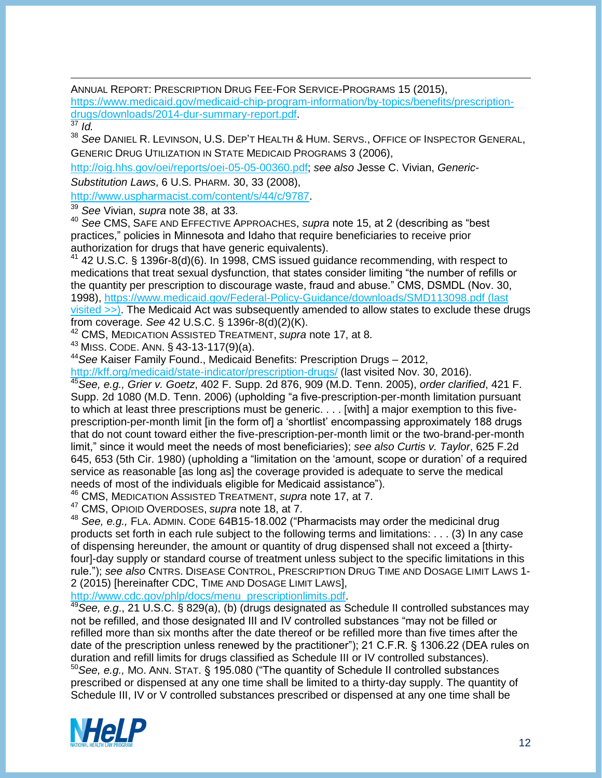ANNUAL REPORT: PRESCRIPTION DRUG FEE-FOR SERVICE-PROGRAMS 15 (2015),

[https://www.medicaid.gov/medicaid-chip-program-information/by-topics/benefits/prescription](https://www.medicaid.gov/medicaid-chip-program-information/by-topics/benefits/prescription-drugs/downloads/2014-dur-summary-report.pdf)[drugs/downloads/2014-dur-summary-report.pdf.](https://www.medicaid.gov/medicaid-chip-program-information/by-topics/benefits/prescription-drugs/downloads/2014-dur-summary-report.pdf)

<sup>38</sup> *See* DANIEL R. LEVINSON, U.S. DEP'T HEALTH & HUM. SERVS., OFFICE OF INSPECTOR GENERAL, GENERIC DRUG UTILIZATION IN STATE MEDICAID PROGRAMS 3 (2006),

[http://oig.hhs.gov/oei/reports/oei-05-05-00360.pdf;](http://oig.hhs.gov/oei/reports/oei-05-05-00360.pdf) *see also* Jesse C. Vivian, *Generic-Substitution Laws*, 6 U.S. PHARM. 30, 33 (2008),

[http://www.uspharmacist.com/content/s/44/c/9787.](http://www.uspharmacist.com/content/s/44/c/9787)

<sup>39</sup> *See* Vivian, *supra* note 38, at 33.

<sup>40</sup> *See* CMS, SAFE AND EFFECTIVE APPROACHES, *supra* note 15, at 2 (describing as "best practices," policies in Minnesota and Idaho that require beneficiaries to receive prior authorization for drugs that have generic equivalents).

 $41$  42 U.S.C. § 1396r-8(d)(6). In 1998, CMS issued guidance recommending, with respect to medications that treat sexual dysfunction, that states consider limiting "the number of refills or the quantity per prescription to discourage waste, fraud and abuse." CMS, DSMDL (Nov. 30, 1998),<https://www.medicaid.gov/Federal-Policy-Guidance/downloads/SMD113098.pdf> (last visited >>). The Medicaid Act was subsequently amended to allow states to exclude these drugs from coverage. *See* 42 U.S.C. § 1396r-8(d)(2)(K).

<sup>42</sup> CMS, MEDICATION ASSISTED TREATMENT, *supra* note 17, at 8.

 $43$  MISS. CODE. ANN. § 43-13-117(9)(a).

<sup>44</sup>*See* Kaiser Family Found., Medicaid Benefits: Prescription Drugs – 2012,

<http://kff.org/medicaid/state-indicator/prescription-drugs/> (last visited Nov. 30, 2016).

<sup>45</sup>*See, e.g., Grier v. Goetz*, 402 F. Supp. 2d 876, 909 (M.D. Tenn. 2005), *order clarified*, 421 F. Supp. 2d 1080 (M.D. Tenn. 2006) (upholding "a five-prescription-per-month limitation pursuant to which at least three prescriptions must be generic. . . . [with] a major exemption to this fiveprescription-per-month limit [in the form of] a 'shortlist' encompassing approximately 188 drugs that do not count toward either the five-prescription-per-month limit or the two-brand-per-month limit," since it would meet the needs of most beneficiaries); *see also Curtis v. Taylor*, 625 F.2d 645, 653 (5th Cir. 1980) (upholding a "limitation on the 'amount, scope or duration' of a required service as reasonable [as long as] the coverage provided is adequate to serve the medical needs of most of the individuals eligible for Medicaid assistance").

<sup>46</sup> CMS, MEDICATION ASSISTED TREATMENT, *supra* note 17, at 7.

<sup>47</sup> CMS, OPIOID OVERDOSES, *supra* note 18, at 7.

<sup>48</sup> *See, e.g.,* FLA. ADMIN. CODE 64B15-18.002 ("Pharmacists may order the medicinal drug products set forth in each rule subject to the following terms and limitations: . . . (3) In any case of dispensing hereunder, the amount or quantity of drug dispensed shall not exceed a [thirtyfour]-day supply or standard course of treatment unless subject to the specific limitations in this rule."); *see also* CNTRS. DISEASE CONTROL, PRESCRIPTION DRUG TIME AND DOSAGE LIMIT LAWS 1- 2 (2015) [hereinafter CDC, TIME AND DOSAGE LIMIT LAWS],

http://www.cdc.gov/phlp/docs/menu\_prescriptionlimits.pdf

<sup>49</sup>*See, e.g*., 21 U.S.C. § 829(a), (b) (drugs designated as Schedule II controlled substances may not be refilled, and those designated III and IV controlled substances "may not be filled or refilled more than six months after the date thereof or be refilled more than five times after the date of the prescription unless renewed by the practitioner"); 21 C.F.R. § 1306.22 (DEA rules on duration and refill limits for drugs classified as Schedule III or IV controlled substances).

<sup>50</sup>*See, e.g.,* MO. ANN. STAT. § 195.080 ("The quantity of Schedule II controlled substances prescribed or dispensed at any one time shall be limited to a thirty-day supply. The quantity of Schedule III, IV or V controlled substances prescribed or dispensed at any one time shall be



 $rac{37}{37}$  *Id.*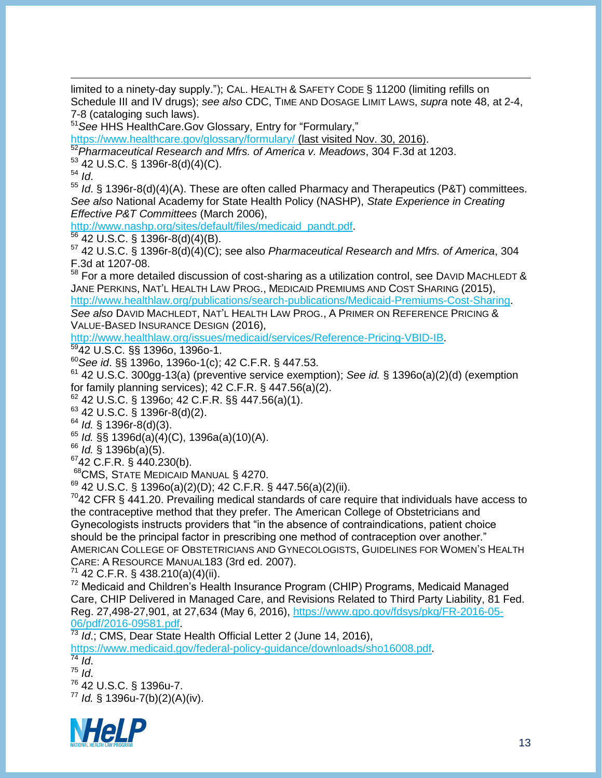limited to a ninety-day supply."); CAL. HEALTH & SAFETY CODE § 11200 (limiting refills on Schedule III and IV drugs); *see also* CDC, TIME AND DOSAGE LIMIT LAWS, *supra* note 48, at 2-4, 7-8 (cataloging such laws).

<sup>51</sup>*See* HHS HealthCare.Gov Glossary, Entry for "Formulary,"

<https://www.healthcare.gov/glossary/formulary/> (last visited Nov. 30, 2016).

<sup>52</sup>*Pharmaceutical Research and Mfrs. of America v. Meadows*, 304 F.3d at 1203.

<sup>53</sup> 42 U.S.C. § 1396r-8(d)(4)(C).

<sup>54</sup> *Id*.

<sup>55</sup> *Id*. § 1396r-8(d)(4)(A). These are often called Pharmacy and Therapeutics (P&T) committees. *See also* National Academy for State Health Policy (NASHP), *State Experience in Creating Effective P&T Committees* (March 2006),

[http://www.nashp.org/sites/default/files/medicaid\\_pandt.pdf.](http://www.nashp.org/sites/default/files/medicaid_pandt.pdf)

 $56$  42 U.S.C. § 1396r-8(d)(4)(B).

<sup>57</sup> 42 U.S.C. § 1396r-8(d)(4)(C); see also *Pharmaceutical Research and Mfrs. of America*, 304 F.3d at 1207-08.

58 For a more detailed discussion of cost-sharing as a utilization control, see DAVID MACHLEDT & JANE PERKINS, NAT'L HEALTH LAW PROG., MEDICAID PREMIUMS AND COST SHARING (2015), [http://www.healthlaw.org/publications/search-publications/Medicaid-Premiums-Cost-Sharing.](http://www.healthlaw.org/publications/search-publications/Medicaid-Premiums-Cost-Sharing)

*See also* DAVID MACHLEDT, NAT'L HEALTH LAW PROG., A PRIMER ON REFERENCE PRICING & VALUE-BASED INSURANCE DESIGN (2016),

[http://www.healthlaw.org/issues/medicaid/services/Reference-Pricing-VBID-IB.](http://www.healthlaw.org/issues/medicaid/services/Reference-Pricing-VBID-IB)

<sup>59</sup>42 U.S.C. §§ 1396o, 1396o-1.

<sup>60</sup>*See id*. §§ 1396o, 1396o-1(c); 42 C.F.R. § 447.53.

<sup>61</sup> 42 U.S.C. 300gg-13(a) (preventive service exemption); *See id.* § 1396o(a)(2)(d) (exemption for family planning services); 42 C.F.R. § 447.56(a)(2).

 $62$  42 U.S.C. § 1396o; 42 C.F.R. §§ 447.56(a)(1).

<sup>63</sup> 42 U.S.C. § 1396r-8(d)(2).

<sup>64</sup> *Id.* § 1396r-8(d)(3).

<sup>65</sup> *Id.* §§ 1396d(a)(4)(C), 1396a(a)(10)(A).

<sup>66</sup> *Id.* § 1396b(a)(5).

 $6742$  C.F.R. § 440.230(b).

<sup>68</sup>CMS, STATE MEDICAID MANUAL § 4270.

 $69$  42 U.S.C. § 1396o(a)(2)(D); 42 C.F.R. § 447.56(a)(2)(ii).

 $7042$  CFR § 441.20. Prevailing medical standards of care require that individuals have access to the contraceptive method that they prefer. The American College of Obstetricians and Gynecologists instructs providers that "in the absence of contraindications, patient choice should be the principal factor in prescribing one method of contraception over another." AMERICAN COLLEGE OF OBSTETRICIANS AND GYNECOLOGISTS, GUIDELINES FOR WOMEN'S HEALTH CARE: A RESOURCE MANUAL183 (3rd ed. 2007).

 $71$  42 C.F.R. § 438.210(a)(4)(ii).

<sup>72</sup> Medicaid and Children's Health Insurance Program (CHIP) Programs, Medicaid Managed Care, CHIP Delivered in Managed Care, and Revisions Related to Third Party Liability, 81 Fed. Reg. 27,498-27,901, at 27,634 (May 6, 2016), [https://www.gpo.gov/fdsys/pkg/FR-2016-05-](https://www.gpo.gov/fdsys/pkg/FR-2016-05-06/pdf/2016-09581.pdf) [06/pdf/2016-09581.pdf.](https://www.gpo.gov/fdsys/pkg/FR-2016-05-06/pdf/2016-09581.pdf)

<sup>73</sup> *Id*.; CMS, Dear State Health Official Letter 2 (June 14, 2016),

[https://www.medicaid.gov/federal-policy-guidance/downloads/sho16008.pdf.](https://www.medicaid.gov/federal-policy-guidance/downloads/sho16008.pdf)

<sup>74</sup> *Id*. <sup>75</sup> *Id*. <sup>76</sup> 42 U.S.C. § 1396u-7. <sup>77</sup> *Id.* § 1396u-7(b)(2)(A)(iv).

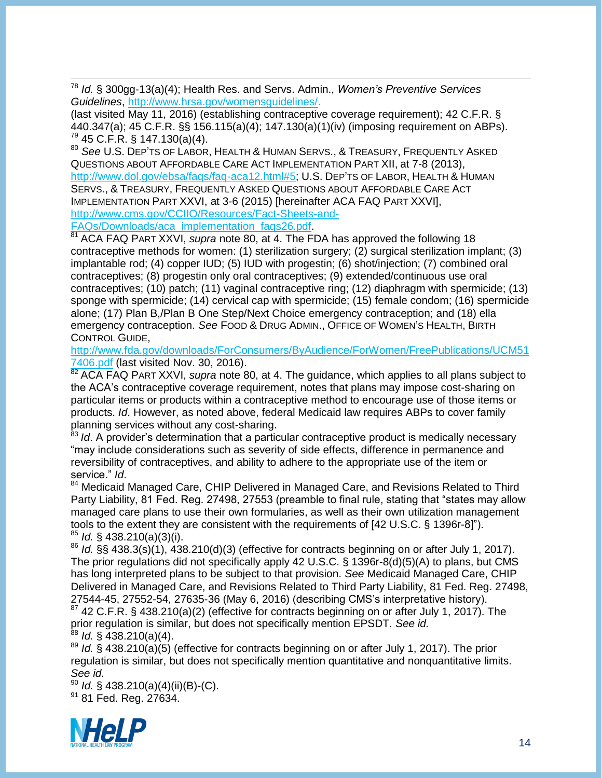<sup>78</sup> *Id.* § 300gg-13(a)(4); Health Res. and Servs. Admin., *Women's Preventive Services Guidelines*, [http://www.hrsa.gov/womensguidelines/.](http://www.hrsa.gov/womensguidelines/)

(last visited May 11, 2016) (establishing contraceptive coverage requirement); 42 C.F.R. § 440.347(a); 45 C.F.R. §§ 156.115(a)(4); 147.130(a)(1)(iv) (imposing requirement on ABPs).  $79.45$  C.F.R. § 147.130(a)(4).

<sup>80</sup> *See* U.S. DEP'TS OF LABOR, HEALTH & HUMAN SERVS., & TREASURY, FREQUENTLY ASKED QUESTIONS ABOUT AFFORDABLE CARE ACT IMPLEMENTATION PART XII, at 7-8 (2013), [http://www.dol.gov/ebsa/faqs/faq-aca12.html#5;](http://www.dol.gov/ebsa/faqs/faq-aca12.html#5) U.S. DEP'TS OF LABOR, HEALTH & HUMAN SERVS., & TREASURY, FREQUENTLY ASKED QUESTIONS ABOUT AFFORDABLE CARE ACT IMPLEMENTATION PART XXVI, at 3-6 (2015) [hereinafter ACA FAQ PART XXVI], [http://www.cms.gov/CCIIO/Resources/Fact-Sheets-and-](http://www.cms.gov/CCIIO/Resources/Fact-Sheets-and-FAQs/Downloads/aca_implementation_faqs26.pdf)

[FAQs/Downloads/aca\\_implementation\\_faqs26.pdf.](http://www.cms.gov/CCIIO/Resources/Fact-Sheets-and-FAQs/Downloads/aca_implementation_faqs26.pdf)

<sup>81</sup> ACA FAQ PART XXVI, *supra* note 80, at 4. The FDA has approved the following 18 contraceptive methods for women: (1) sterilization surgery; (2) surgical sterilization implant; (3) implantable rod; (4) copper IUD; (5) IUD with progestin; (6) shot/injection; (7) combined oral contraceptives; (8) progestin only oral contraceptives; (9) extended/continuous use oral contraceptives; (10) patch; (11) vaginal contraceptive ring; (12) diaphragm with spermicide; (13) sponge with spermicide; (14) cervical cap with spermicide; (15) female condom; (16) spermicide alone; (17) Plan B,/Plan B One Step/Next Choice emergency contraception; and (18) ella emergency contraception. *See* FOOD & DRUG ADMIN., OFFICE OF WOMEN'S HEALTH, BIRTH CONTROL GUIDE,

[http://www.fda.gov/downloads/ForConsumers/ByAudience/ForWomen/FreePublications/UCM51](http://www.fda.gov/downloads/ForConsumers/ByAudience/ForWomen/FreePublications/UCM517406.pdf) [7406.pdf](http://www.fda.gov/downloads/ForConsumers/ByAudience/ForWomen/FreePublications/UCM517406.pdf) (last visited Nov. 30, 2016).

<sup>82</sup> ACA FAQ PART XXVI, *supra* note 80, at 4. The guidance, which applies to all plans subject to the ACA's contraceptive coverage requirement, notes that plans may impose cost-sharing on particular items or products within a contraceptive method to encourage use of those items or products. *Id*. However, as noted above, federal Medicaid law requires ABPs to cover family planning services without any cost-sharing.

<sup>83</sup> Id. A provider's determination that a particular contraceptive product is medically necessary "may include considerations such as severity of side effects, difference in permanence and reversibility of contraceptives, and ability to adhere to the appropriate use of the item or service." *Id*.

<sup>84</sup> Medicaid Managed Care, CHIP Delivered in Managed Care, and Revisions Related to Third Party Liability, 81 Fed. Reg. 27498, 27553 (preamble to final rule, stating that "states may allow managed care plans to use their own formularies, as well as their own utilization management tools to the extent they are consistent with the requirements of [42 U.S.C. § 1396r-8]"). <sup>85</sup> *Id.* § 438.210(a)(3)(i).

<sup>86</sup> *Id.* §§ 438.3(s)(1), 438.210(d)(3) (effective for contracts beginning on or after July 1, 2017). The prior regulations did not specifically apply 42 U.S.C. § 1396r-8(d)(5)(A) to plans, but CMS has long interpreted plans to be subject to that provision. *See* Medicaid Managed Care, CHIP Delivered in Managed Care, and Revisions Related to Third Party Liability, 81 Fed. Reg. 27498, 27544-45, 27552-54, 27635-36 (May 6, 2016) (describing CMS's interpretative history).

 $87$  42 C.F.R. § 438.210(a)(2) (effective for contracts beginning on or after July 1, 2017). The prior regulation is similar, but does not specifically mention EPSDT. *See id.* <sup>88</sup> *Id.* § 438.210(a)(4).

<sup>89</sup> *Id.* § 438.210(a)(5) (effective for contracts beginning on or after July 1, 2017). The prior regulation is similar, but does not specifically mention quantitative and nonquantitative limits. *See id.*

<sup>90</sup> *Id.* § 438.210(a)(4)(ii)(B)-(C). <sup>91</sup> 81 Fed. Reg. 27634.